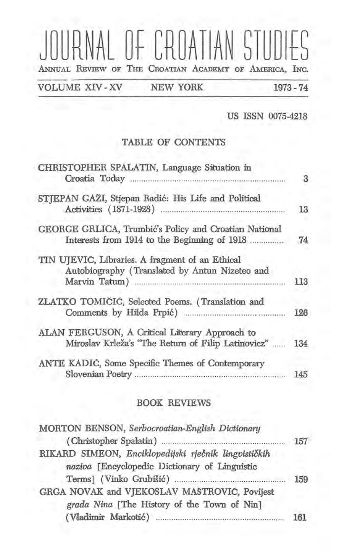# RNAL OF CROATIAN STUDIES ANNUAL REVIEW OF THE CROATIAN ACADEMY OF AMERICA, INC.

**VOLUME XIV-XV** 

NEW YORK

1973 - 74

US ISSN 0075-4218

#### TABLE OF CONTENTS

| CHRISTOPHER SPALATIN, Language Situation in                                                           | 3   |
|-------------------------------------------------------------------------------------------------------|-----|
| STJEPAN GAŽI, Stjepan Radić: His Life and Political                                                   | 13  |
| GEORGE GRLICA, Trumbić's Policy and Croatian National<br>Interests from 1914 to the Beginning of 1918 | 74  |
| TIN UJEVIC, Libraries. A fragment of an Ethical<br>Autobiography (Translated by Antun Nizeteo and     | 113 |
| ZLATKO TOMIČIĆ, Selected Poems. (Translation and                                                      | 126 |
| ALAN FERGUSON, A Critical Literary Approach to<br>Miroslav Krleža's "The Return of Filip Latinovicz"  | 134 |
| ANTE KADIC, Some Specific Themes of Contemporary                                                      | 145 |

#### **BOOK REVIEWS**

| MORTON BENSON, Serbocroatian-English Dictionary      |     |
|------------------------------------------------------|-----|
|                                                      | 157 |
| RIKARD SIMEON, Enciklopedijski rječnik lingvističkih |     |
| naziva [Encyclopedic Dictionary of Linguistic        |     |
|                                                      | 159 |
| GRGA NOVAK and VJEKOSLAV MAŠTROVIĆ, Povijest         |     |
| grada Nina [The History of the Town of Nin]          |     |
|                                                      | 161 |